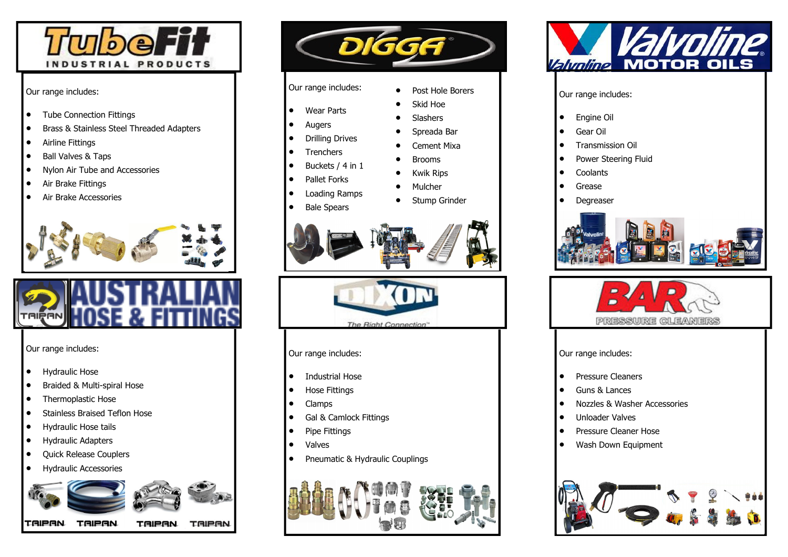

## Our range includes:

- Tube Connection Fittings
- Brass & Stainless Steel Threaded Adapters
- Airline Fittings
- Ball Valves & Taps
- Nylon Air Tube and Accessories
- Air Brake Fittings
- Air Brake Accessories





## Our range includes:

- Hydraulic Hose
- Braided & Multi-spiral Hose
- Thermoplastic Hose
- Stainless Braised Teflon Hose
- Hydraulic Hose tails
- Hydraulic Adapters
- Quick Release Couplers
- Hydraulic Accessories





- Wear Parts
- Augers
- Drilling Drives
- Trenchers
- Buckets / 4 in 1
- Pallet Forks
- Loading Ramps
- Bale Spears





Our range includes:

- Industrial Hose
- Hose Fittings
- Clamps
- Gal & Camlock Fittings
- Pipe Fittings
- Valves
- Pneumatic & Hydraulic Couplings





## Our range includes:

- Engine Oil
- Gear Oil
- Transmission Oil
- Power Steering Fluid
- **Coolants**
- **Grease**
- **Degreaser**





Our range includes:

- Pressure Cleaners
- Guns & Lances
- Nozzles & Washer Accessories
- Unloader Valves
- Pressure Cleaner Hose
- Wash Down Equipment



- Cement Mixa • Brooms
	- -
		- **Mulcher**

**Slashers** • Spreada Bar

- Stump Grinder
- Kwik Rips